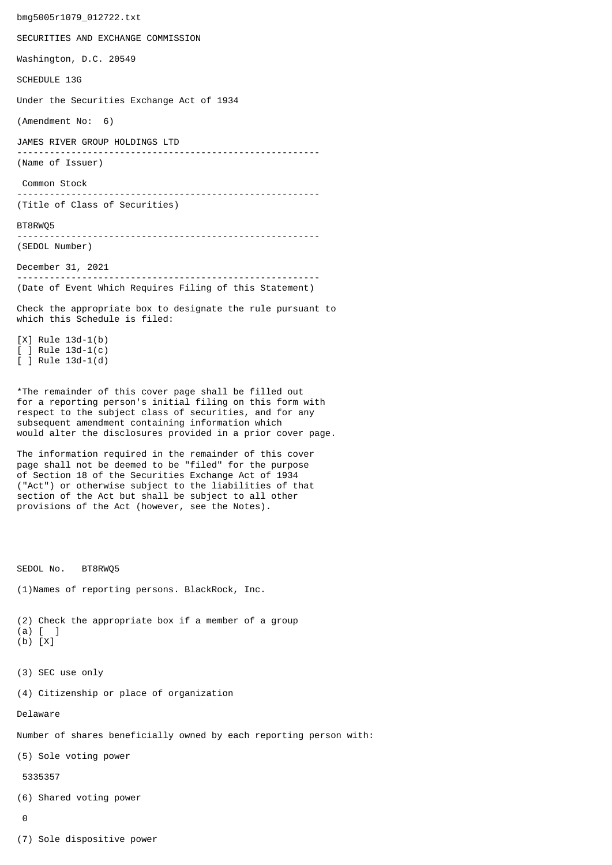bmg5005r1079\_012722.txt SECURITIES AND EXCHANGE COMMISSION Washington, D.C. 20549 SCHEDULE 13G Under the Securities Exchange Act of 1934 (Amendment No: 6) JAMES RIVER GROUP HOLDINGS LTD -------------------------------------------------------- (Name of Issuer) Common Stock -------------------------------------------------------- (Title of Class of Securities) BT8RWQ5 -------------------------------------------------------- (SEDOL Number) December 31, 2021 -------------------------------------------------------- (Date of Event Which Requires Filing of this Statement) Check the appropriate box to designate the rule pursuant to which this Schedule is filed: [X] Rule 13d-1(b) [ ] Rule 13d-1(c) [ ] Rule 13d-1(d) \*The remainder of this cover page shall be filled out for a reporting person's initial filing on this form with respect to the subject class of securities, and for any subsequent amendment containing information which would alter the disclosures provided in a prior cover page. The information required in the remainder of this cover page shall not be deemed to be "filed" for the purpose of Section 18 of the Securities Exchange Act of 1934 ("Act") or otherwise subject to the liabilities of that section of the Act but shall be subject to all other provisions of the Act (however, see the Notes). SEDOL No. BT8RWQ5 (1)Names of reporting persons. BlackRock, Inc. (2) Check the appropriate box if a member of a group (a) [ ] (b) [X] (3) SEC use only (4) Citizenship or place of organization Delaware Number of shares beneficially owned by each reporting person with: (5) Sole voting power 5335357 (6) Shared voting power  $\Omega$ 

(7) Sole dispositive power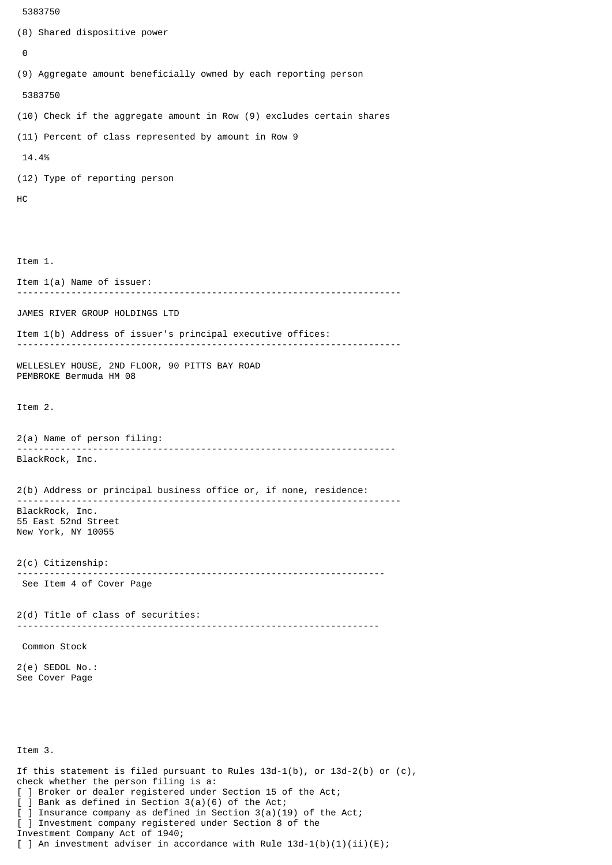```
 5383750
(8) Shared dispositive power
 \boldsymbol{\Theta}(9) Aggregate amount beneficially owned by each reporting person
  5383750
(10) Check if the aggregate amount in Row (9) excludes certain shares
(11) Percent of class represented by amount in Row 9
 14.4%
(12) Type of reporting person
HC
Item 1.
Item 1(a) Name of issuer:
           -----------------------------------------------------------------------
JAMES RIVER GROUP HOLDINGS LTD
Item 1(b) Address of issuer's principal executive offices:
-----------------------------------------------------------------------
WELLESLEY HOUSE, 2ND FLOOR, 90 PITTS BAY ROAD
PEMBROKE Bermuda HM 08
Item 2.
2(a) Name of person filing:
               ----------------------------------------------------------------------
BlackRock, Inc.
2(b) Address or principal business office or, if none, residence:
 -----------------------------------------------------------------------
BlackRock, Inc.
55 East 52nd Street
New York, NY 10055
2(c) Citizenship:
                            --------------------------------------------------------------------
 See Item 4 of Cover Page
2(d) Title of class of securities:
                                      -------------------------------------------------------------------
 Common Stock
2(e) SEDOL No.:
See Cover Page
Item 3.
If this statement is filed pursuant to Rules 13d-1(b), or 13d-2(b) or (c),
check whether the person filing is a:
[ ] Broker or dealer registered under Section 15 of the Act;
[ ] Bank as defined in Section 3(a)(6) of the Act;
```
] Insurance company as defined in Section  $3(a)(19)$  of the Act;

[ ] An investment adviser in accordance with Rule  $13d-1(b)(1)(ii)(E)$ ;

[ ] Investment company registered under Section 8 of the

Investment Company Act of 1940;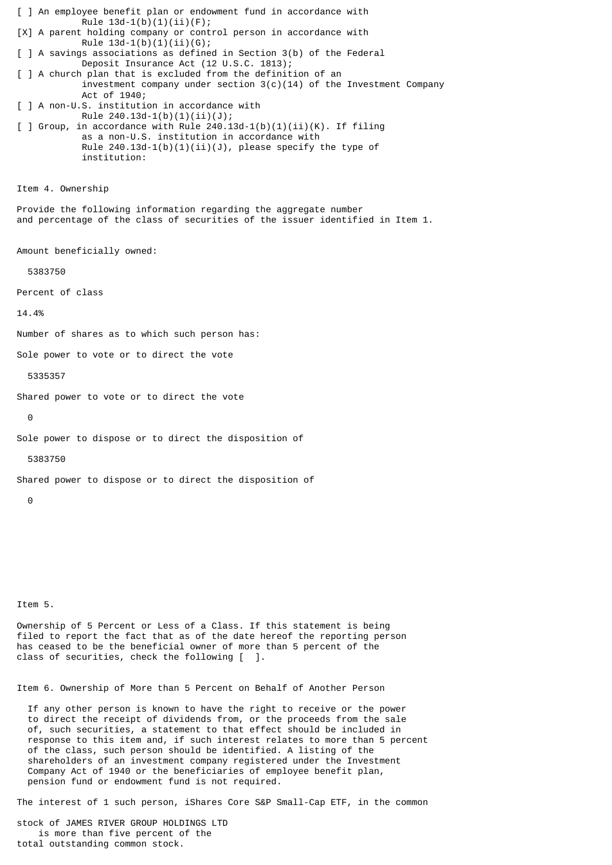[ ] An employee benefit plan or endowment fund in accordance with Rule  $13d-1(b)(1)(ii)(F);$ [X] A parent holding company or control person in accordance with Rule  $13d-1(b)(1)(ii)(G);$ [ ] A savings associations as defined in Section 3(b) of the Federal Deposit Insurance Act (12 U.S.C. 1813); [ ] A church plan that is excluded from the definition of an investment company under section  $3(c)(14)$  of the Investment Company Act of 1940; [ ] A non-U.S. institution in accordance with Rule 240.13d-1(b)(1)(ii)(J);  $\lceil$  ] Group, in accordance with Rule 240.13d-1(b)(1)(ii)(K). If filing as a non-U.S. institution in accordance with Rule  $240.13d-1(b)(1)(ii)(J)$ , please specify the type of institution: Item 4. Ownership Provide the following information regarding the aggregate number and percentage of the class of securities of the issuer identified in Item 1. Amount beneficially owned: 5383750 Percent of class 14.4% Number of shares as to which such person has: Sole power to vote or to direct the vote 5335357 Shared power to vote or to direct the vote  $\Theta$ Sole power to dispose or to direct the disposition of 5383750 Shared power to dispose or to direct the disposition of  $\Omega$ 

Item 5.

Ownership of 5 Percent or Less of a Class. If this statement is being filed to report the fact that as of the date hereof the reporting person has ceased to be the beneficial owner of more than 5 percent of the class of securities, check the following [ ].

Item 6. Ownership of More than 5 Percent on Behalf of Another Person

 If any other person is known to have the right to receive or the power to direct the receipt of dividends from, or the proceeds from the sale of, such securities, a statement to that effect should be included in response to this item and, if such interest relates to more than 5 percent of the class, such person should be identified. A listing of the shareholders of an investment company registered under the Investment Company Act of 1940 or the beneficiaries of employee benefit plan, pension fund or endowment fund is not required.

The interest of 1 such person, iShares Core S&P Small-Cap ETF, in the common

stock of JAMES RIVER GROUP HOLDINGS LTD is more than five percent of the total outstanding common stock.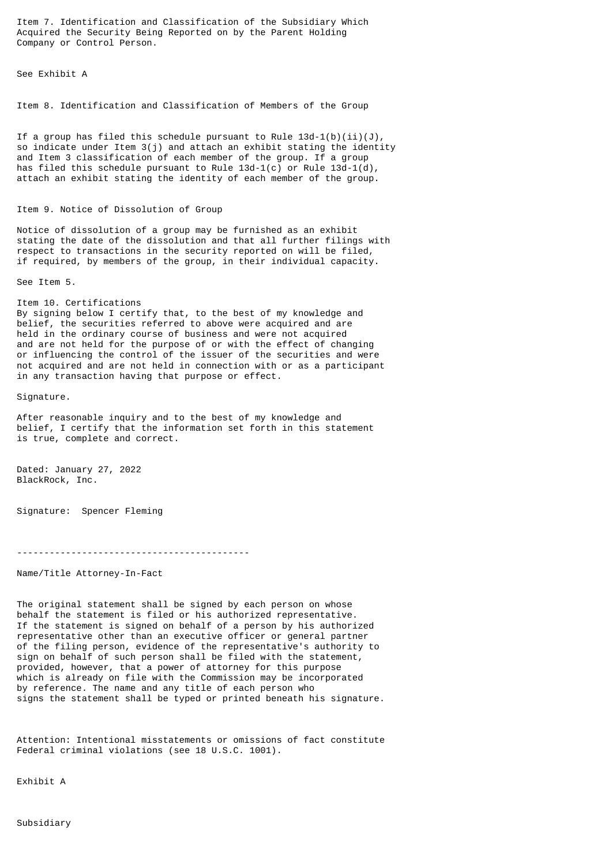Item 7. Identification and Classification of the Subsidiary Which Acquired the Security Being Reported on by the Parent Holding Company or Control Person.

## See Exhibit A

Item 8. Identification and Classification of Members of the Group

If a group has filed this schedule pursuant to Rule  $13d-1(b)(ii)(J)$ , so indicate under Item 3(j) and attach an exhibit stating the identity and Item 3 classification of each member of the group. If a group has filed this schedule pursuant to Rule 13d-1(c) or Rule 13d-1(d), attach an exhibit stating the identity of each member of the group.

## Item 9. Notice of Dissolution of Group

Notice of dissolution of a group may be furnished as an exhibit stating the date of the dissolution and that all further filings with respect to transactions in the security reported on will be filed, if required, by members of the group, in their individual capacity.

See Item 5.

Item 10. Certifications By signing below I certify that, to the best of my knowledge and belief, the securities referred to above were acquired and are held in the ordinary course of business and were not acquired and are not held for the purpose of or with the effect of changing or influencing the control of the issuer of the securities and were not acquired and are not held in connection with or as a participant in any transaction having that purpose or effect.

## Signature.

After reasonable inquiry and to the best of my knowledge and belief, I certify that the information set forth in this statement is true, complete and correct.

Dated: January 27, 2022 BlackRock, Inc.

Signature: Spencer Fleming

```
-------------------------------------------
```
Name/Title Attorney-In-Fact

The original statement shall be signed by each person on whose behalf the statement is filed or his authorized representative. If the statement is signed on behalf of a person by his authorized representative other than an executive officer or general partner of the filing person, evidence of the representative's authority to sign on behalf of such person shall be filed with the statement, provided, however, that a power of attorney for this purpose which is already on file with the Commission may be incorporated by reference. The name and any title of each person who signs the statement shall be typed or printed beneath his signature.

Attention: Intentional misstatements or omissions of fact constitute Federal criminal violations (see 18 U.S.C. 1001).

Exhibit A